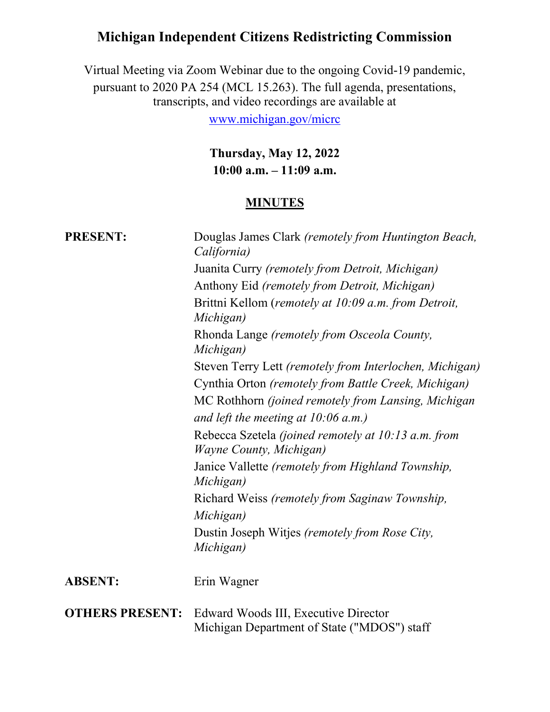# Michigan Independent Citizens Redistricting Commission

Virtual Meeting via Zoom Webinar due to the ongoing Covid-19 pandemic, pursuant to 2020 PA 254 (MCL 15.263). The full agenda, presentations, transcripts, and video recordings are available at

www.michigan.gov/micrc

Thursday, May 12, 2022 10:00 a.m. – 11:09 a.m.

#### **MINUTES**

| <b>PRESENT:</b>        | Douglas James Clark (remotely from Huntington Beach,<br>California)<br>Juanita Curry (remotely from Detroit, Michigan)<br>Anthony Eid (remotely from Detroit, Michigan)<br>Brittni Kellom (remotely at 10:09 a.m. from Detroit,<br>Michigan)<br>Rhonda Lange (remotely from Osceola County,<br>Michigan)<br>Steven Terry Lett (remotely from Interlochen, Michigan)<br>Cynthia Orton (remotely from Battle Creek, Michigan)<br>MC Rothhorn (joined remotely from Lansing, Michigan<br>and left the meeting at $10:06$ a.m.)<br>Rebecca Szetela (joined remotely at 10:13 a.m. from<br><i>Wayne County, Michigan</i> )<br>Janice Vallette (remotely from Highland Township,<br>Michigan)<br>Richard Weiss (remotely from Saginaw Township,<br>Michigan) |
|------------------------|--------------------------------------------------------------------------------------------------------------------------------------------------------------------------------------------------------------------------------------------------------------------------------------------------------------------------------------------------------------------------------------------------------------------------------------------------------------------------------------------------------------------------------------------------------------------------------------------------------------------------------------------------------------------------------------------------------------------------------------------------------|
|                        | Dustin Joseph Witjes (remotely from Rose City,<br>Michigan)                                                                                                                                                                                                                                                                                                                                                                                                                                                                                                                                                                                                                                                                                            |
| <b>ABSENT:</b>         | Erin Wagner                                                                                                                                                                                                                                                                                                                                                                                                                                                                                                                                                                                                                                                                                                                                            |
| <b>OTHERS PRESENT:</b> | Edward Woods III, Executive Director<br>Michigan Department of State ("MDOS") staff                                                                                                                                                                                                                                                                                                                                                                                                                                                                                                                                                                                                                                                                    |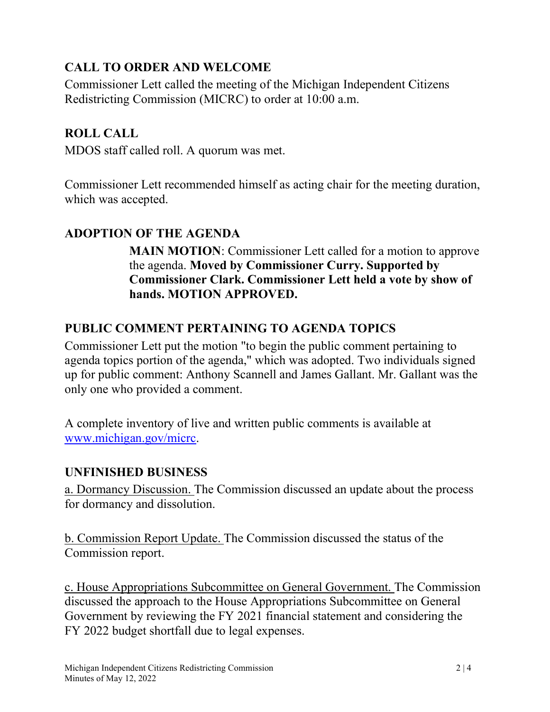# CALL TO ORDER AND WELCOME

Commissioner Lett called the meeting of the Michigan Independent Citizens Redistricting Commission (MICRC) to order at 10:00 a.m.

## ROLL CALL

MDOS staff called roll. A quorum was met.

Commissioner Lett recommended himself as acting chair for the meeting duration, which was accepted.

# ADOPTION OF THE AGENDA

MAIN MOTION: Commissioner Lett called for a motion to approve the agenda. Moved by Commissioner Curry. Supported by Commissioner Clark. Commissioner Lett held a vote by show of hands. MOTION APPROVED.

# PUBLIC COMMENT PERTAINING TO AGENDA TOPICS

Commissioner Lett put the motion "to begin the public comment pertaining to agenda topics portion of the agenda," which was adopted. Two individuals signed up for public comment: Anthony Scannell and James Gallant. Mr. Gallant was the only one who provided a comment.

A complete inventory of live and written public comments is available at www.michigan.gov/micrc.

### UNFINISHED BUSINESS

a. Dormancy Discussion. The Commission discussed an update about the process for dormancy and dissolution.

b. Commission Report Update. The Commission discussed the status of the Commission report.

c. House Appropriations Subcommittee on General Government. The Commission discussed the approach to the House Appropriations Subcommittee on General Government by reviewing the FY 2021 financial statement and considering the FY 2022 budget shortfall due to legal expenses.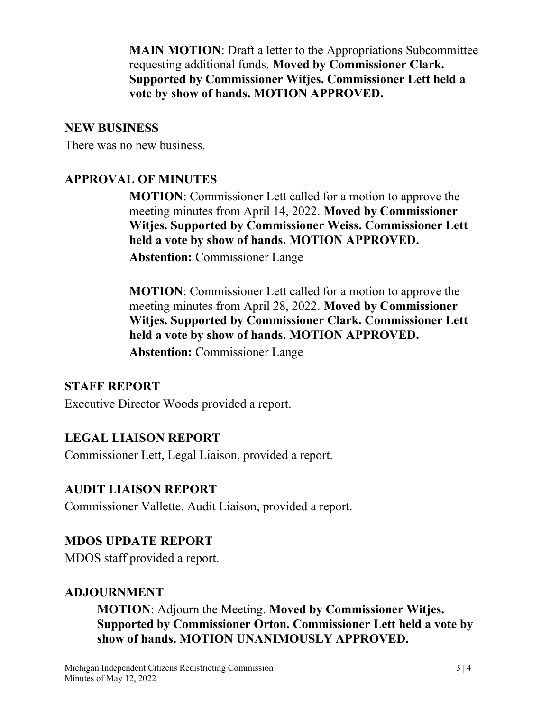MAIN MOTION: Draft a letter to the Appropriations Subcommittee requesting additional funds. Moved by Commissioner Clark. Supported by Commissioner Witjes. Commissioner Lett held a vote by show of hands. MOTION APPROVED.

#### NEW BUSINESS

There was no new business.

# APPROVAL OF MINUTES

MOTION: Commissioner Lett called for a motion to approve the meeting minutes from April 14, 2022. Moved by Commissioner Witjes. Supported by Commissioner Weiss. Commissioner Lett held a vote by show of hands. MOTION APPROVED.

Abstention: Commissioner Lange

MOTION: Commissioner Lett called for a motion to approve the meeting minutes from April 28, 2022. Moved by Commissioner Witjes. Supported by Commissioner Clark. Commissioner Lett held a vote by show of hands. MOTION APPROVED.

Abstention: Commissioner Lange

### STAFF REPORT

Executive Director Woods provided a report.

# LEGAL LIAISON REPORT

Commissioner Lett, Legal Liaison, provided a report.

### AUDIT LIAISON REPORT

Commissioner Vallette, Audit Liaison, provided a report.

### MDOS UPDATE REPORT

MDOS staff provided a report.

### ADJOURNMENT

MOTION: Adjourn the Meeting. Moved by Commissioner Witjes. Supported by Commissioner Orton. Commissioner Lett held a vote by show of hands. MOTION UNANIMOUSLY APPROVED.